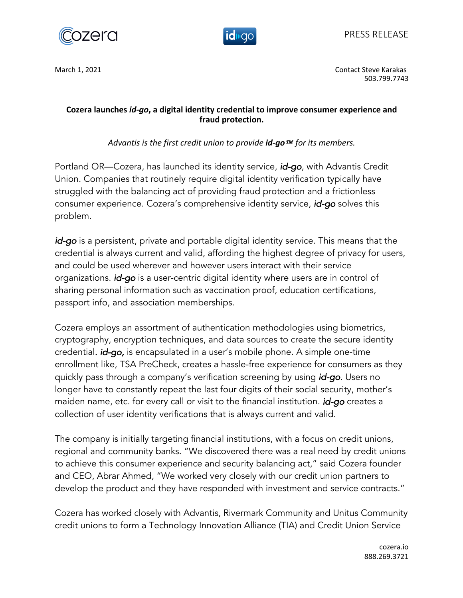



March 1, 2021 **Contact Steve Karakas** Contact Steve Karakas Contact Steve Karakas Contact Steve Karakas Contact Steve Karakas Contact Steve Karakas Contact Steve Karakas Contact Steve Karakas Contact Steve Karakas Contact 503.799.7743

## **Cozera launches** *id-go***, a digital identity credential to improve consumer experience and fraud protection.**

*Advantis is the first credit union to provide <i>id-go* ™ for its members.

Portland OR—Cozera, has launched its identity service, *id-go*, with Advantis Credit Union. Companies that routinely require digital identity verification typically have struggled with the balancing act of providing fraud protection and a frictionless consumer experience. Cozera's comprehensive identity service, *id-go* solves this problem.

*id-go* is a persistent, private and portable digital identity service. This means that the credential is always current and valid, affording the highest degree of privacy for users, and could be used wherever and however users interact with their service organizations. *id-go* is a user-centric digital identity where users are in control of sharing personal information such as vaccination proof, education certifications, passport info, and association memberships.

Cozera employs an assortment of authentication methodologies using biometrics, cryptography, encryption techniques, and data sources to create the secure identity credential*. id-go,* is encapsulated in a user's mobile phone. A simple one-time enrollment like, TSA PreCheck, creates a hassle-free experience for consumers as they quickly pass through a company's verification screening by using *id-go*. Users no longer have to constantly repeat the last four digits of their social security, mother's maiden name, etc. for every call or visit to the financial institution. *id-go* creates a collection of user identity verifications that is always current and valid.

The company is initially targeting financial institutions, with a focus on credit unions, regional and community banks. "We discovered there was a real need by credit unions to achieve this consumer experience and security balancing act," said Cozera founder and CEO, Abrar Ahmed, "We worked very closely with our credit union partners to develop the product and they have responded with investment and service contracts."

Cozera has worked closely with Advantis, Rivermark Community and Unitus Community credit unions to form a Technology Innovation Alliance (TIA) and Credit Union Service